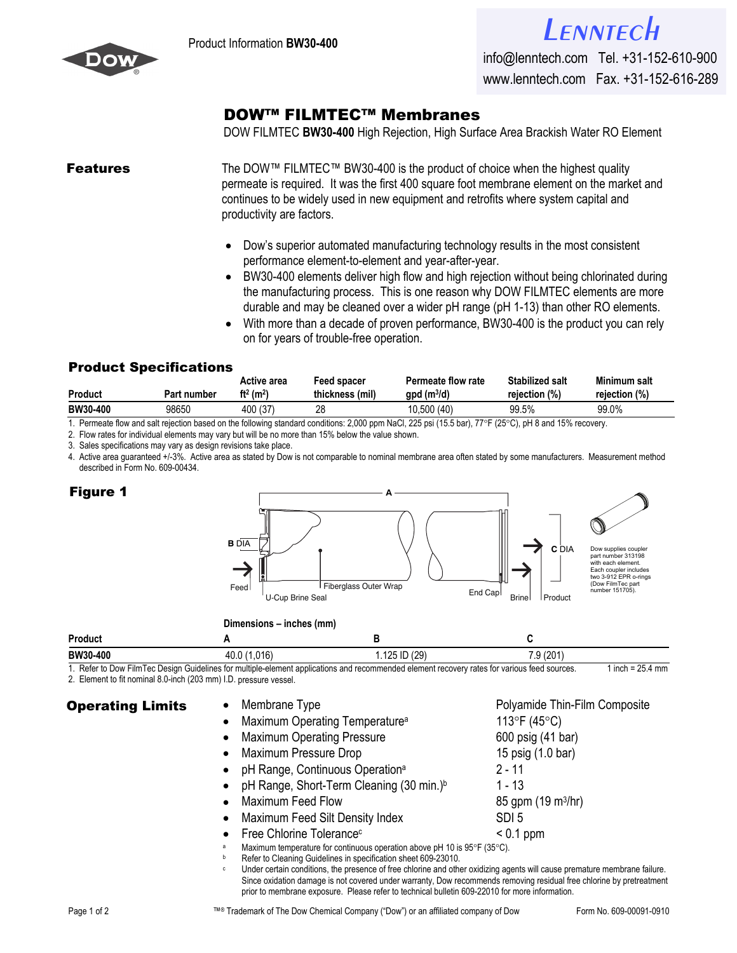

info@lenntech.com Tel. +31-152-610-900 www.lenntech.com Fax. +31-152-616-289

## [DOW™ FILMTEC™ Membran](http://www.lenntech.com/feedback/feedback_uk.htm?ref_title=Filmtec/Dow-Filmtec-BW30-400.pdf)es

DOW FILMTEC **BW30-400** High Rejection, High Surface Area Brackish Water RO Element

**Features** The DOW™ FILMTEC™ BW30-400 is the product of choice when the highest quality permeate is required. It was the first 400 square foot membrane element on the market and continues to be widely used in new equipment and retrofits where system capital and productivity are factors.

- Dow's superior automated manufacturing technology results in the most consistent performance element-to-element and year-after-year.
- BW30-400 elements deliver high flow and high rejection without being chlorinated during the manufacturing process. This is one reason why DOW FILMTEC elements are more durable and may be cleaned over a wider pH range (pH 1-13) than other RO elements.
- With more than a decade of proven performance, BW30-400 is the product you can rely on for years of trouble-free operation.

## **Product Specifications**

| <b>Product</b> | Part number | Active area<br>ft <sup>2</sup> (m <sup>2</sup> ) | Feed spacer<br>thickness (mil) | <b>Permeate flow rate</b><br>$gpd$ (m <sup>3</sup> /d) | <b>Stabilized salt</b><br>rejection (%) | Minimum salt<br>rejection (%) |
|----------------|-------------|--------------------------------------------------|--------------------------------|--------------------------------------------------------|-----------------------------------------|-------------------------------|
| BW30-400       | 98650       | 400 (37)                                         | 28                             | 10,500 (40)                                            | 99.5%                                   | 99.0%                         |

1. Permeate flow and salt rejection based on the following standard conditions: 2,000 ppm NaCl, 225 psi (15.5 bar), 77°F (25°C), pH 8 and 15% recovery.

2. Flow rates for individual elements may vary but will be no more than 15% below the value shown.

3. Sales specifications may vary as design revisions take place.

4. Active area guaranteed +/-3%. Active area as stated by Dow is not comparable to nominal membrane area often stated by some manufacturers. Measurement method described in Form No. 609-00434.

## **Figure 1**



|                               | $PII$ $PII$ $PII$ $PII$ $PII$ $PII$ $PII$ |                       |                         |  |  |
|-------------------------------|-------------------------------------------|-----------------------|-------------------------|--|--|
| <b>Product</b>                |                                           |                       |                         |  |  |
| BW30-400                      | . በ1բ՝<br>40.0                            | 129<br>υг<br>╺<br>៶∠∪ | 100 <sub>1</sub><br>៶∠∪ |  |  |
| .<br>- - - -<br>_ _<br>$\sim$ | .                                         |                       | $  -$<br>. .            |  |  |

1. Refer to Dow FilmTec Design Guidelines for multiple-element applications and recommended element recovery rates for various feed sources. 1 inch = 25.4 mm

2. Element to fit nominal 8.0-inch (203 mm) I.D. pressure vessel.

| <b>Operating Limits</b> | Membrane Type                                                       | Polyamide Thin-Film Composite                                            |  |  |
|-------------------------|---------------------------------------------------------------------|--------------------------------------------------------------------------|--|--|
|                         | Maximum Operating Temperature <sup>a</sup>                          | 113°F (45°C)                                                             |  |  |
|                         | <b>Maximum Operating Pressure</b><br>$\bullet$                      | 600 psig (41 bar)                                                        |  |  |
|                         | Maximum Pressure Drop<br>$\bullet$                                  | 15 psig (1.0 bar)                                                        |  |  |
|                         | pH Range, Continuous Operation <sup>a</sup>                         | 2 - 11                                                                   |  |  |
|                         | • pH Range, Short-Term Cleaning $(30 \text{ min.})^b$               | 1 - 13                                                                   |  |  |
|                         | <b>Maximum Feed Flow</b><br>$\bullet$                               | 85 gpm $(19 \text{ m}^3/\text{hr})$                                      |  |  |
|                         | Maximum Feed Silt Density Index<br>$\bullet$                        | SDI <sub>5</sub>                                                         |  |  |
|                         | Free Chlorine Tolerance <sup>c</sup><br>$\bullet$                   | $< 0.1$ ppm                                                              |  |  |
|                         |                                                                     | Maximum temperature for continuous operation above pH 10 is 95°F (35°C). |  |  |
|                         | Refer to Cleaning Guidelines in specification sheet 609-23010.<br>b |                                                                          |  |  |

Under certain conditions, the presence of free chlorine and other oxidizing agents will cause premature membrane failure. Since oxidation damage is not covered under warranty, Dow recommends removing residual free chlorine by pretreatment prior to membrane exposure. Please refer to technical bulletin 609-22010 for more information.